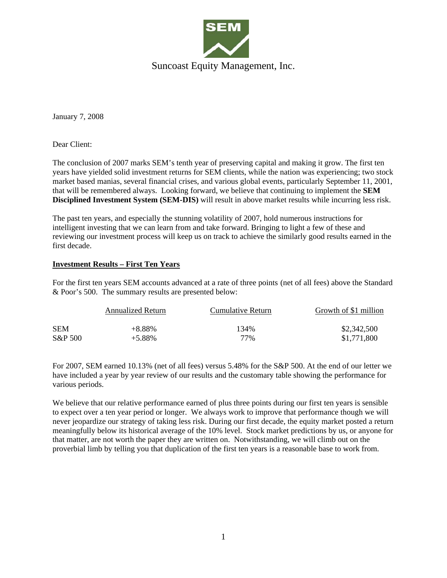

January 7, 2008

Dear Client:

The conclusion of 2007 marks SEM's tenth year of preserving capital and making it grow. The first ten years have yielded solid investment returns for SEM clients, while the nation was experiencing; two stock market based manias, several financial crises, and various global events, particularly September 11, 2001, that will be remembered always. Looking forward, we believe that continuing to implement the **SEM Disciplined Investment System (SEM-DIS)** will result in above market results while incurring less risk.

The past ten years, and especially the stunning volatility of 2007, hold numerous instructions for intelligent investing that we can learn from and take forward. Bringing to light a few of these and reviewing our investment process will keep us on track to achieve the similarly good results earned in the first decade.

### **Investment Results – First Ten Years**

For the first ten years SEM accounts advanced at a rate of three points (net of all fees) above the Standard & Poor's 500. The summary results are presented below:

|            | Annualized Return | Cumulative Return | Growth of \$1 million |
|------------|-------------------|-------------------|-----------------------|
| <b>SEM</b> | $+8.88\%$         | 134%              | \$2,342,500           |
| S&P 500    | $+5.88\%$         | 77%               | \$1,771,800           |

For 2007, SEM earned 10.13% (net of all fees) versus 5.48% for the S&P 500. At the end of our letter we have included a year by year review of our results and the customary table showing the performance for various periods.

We believe that our relative performance earned of plus three points during our first ten years is sensible to expect over a ten year period or longer. We always work to improve that performance though we will never jeopardize our strategy of taking less risk. During our first decade, the equity market posted a return meaningfully below its historical average of the 10% level. Stock market predictions by us, or anyone for that matter, are not worth the paper they are written on. Notwithstanding, we will climb out on the proverbial limb by telling you that duplication of the first ten years is a reasonable base to work from.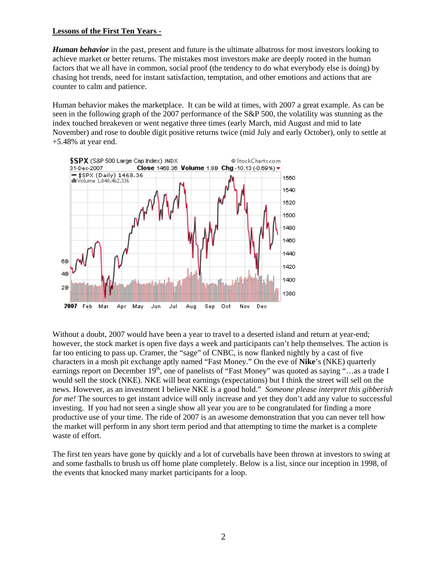#### **Lessons of the First Ten Years -**

*Human behavior* in the past, present and future is the ultimate albatross for most investors looking to achieve market or better returns. The mistakes most investors make are deeply rooted in the human factors that we all have in common, social proof (the tendency to do what everybody else is doing) by chasing hot trends, need for instant satisfaction, temptation, and other emotions and actions that are counter to calm and patience.

Human behavior makes the marketplace. It can be wild at times, with 2007 a great example. As can be seen in the following graph of the 2007 performance of the S&P 500, the volatility was stunning as the index touched breakeven or went negative three times (early March, mid August and mid to late November) and rose to double digit positive returns twice (mid July and early October), only to settle at +5.48% at year end.



Without a doubt, 2007 would have been a year to travel to a deserted island and return at year-end; however, the stock market is open five days a week and participants can't help themselves. The action is far too enticing to pass up. Cramer, the "sage" of CNBC, is now flanked nightly by a cast of five characters in a mosh pit exchange aptly named "Fast Money." On the eve of **Nike**'s (NKE) quarterly earnings report on December  $19<sup>th</sup>$ , one of panelists of "Fast Money" was quoted as saying "…as a trade I would sell the stock (NKE). NKE will beat earnings (expectations) but I think the street will sell on the news. However, as an investment I believe NKE is a good hold." *Someone please interpret this gibberish for me!* The sources to get instant advice will only increase and yet they don't add any value to successful investing. If you had not seen a single show all year you are to be congratulated for finding a more productive use of your time. The ride of 2007 is an awesome demonstration that you can never tell how the market will perform in any short term period and that attempting to time the market is a complete waste of effort.

The first ten years have gone by quickly and a lot of curveballs have been thrown at investors to swing at and some fastballs to brush us off home plate completely. Below is a list, since our inception in 1998, of the events that knocked many market participants for a loop.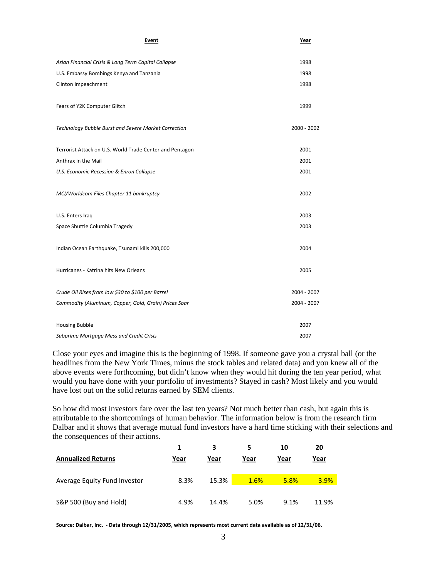| Asian Financial Crisis & Long Term Capital Collapse<br>1998<br>U.S. Embassy Bombings Kenya and Tanzania<br>1998<br>1998<br>Clinton Impeachment |  |
|------------------------------------------------------------------------------------------------------------------------------------------------|--|
|                                                                                                                                                |  |
|                                                                                                                                                |  |
|                                                                                                                                                |  |
| Fears of Y2K Computer Glitch<br>1999                                                                                                           |  |
| Technology Bubble Burst and Severe Market Correction<br>2000 - 2002                                                                            |  |
| Terrorist Attack on U.S. World Trade Center and Pentagon<br>2001                                                                               |  |
| Anthrax in the Mail<br>2001                                                                                                                    |  |
| U.S. Economic Recession & Enron Collapse<br>2001                                                                                               |  |
| MCI/Worldcom Files Chapter 11 bankruptcy<br>2002                                                                                               |  |
| 2003<br>U.S. Enters Iraq                                                                                                                       |  |
| Space Shuttle Columbia Tragedy<br>2003                                                                                                         |  |
| Indian Ocean Earthquake, Tsunami kills 200,000<br>2004                                                                                         |  |
| Hurricanes - Katrina hits New Orleans<br>2005                                                                                                  |  |
| Crude Oil Rises from low \$30 to \$100 per Barrel<br>2004 - 2007                                                                               |  |
| 2004 - 2007<br>Commodity (Aluminum, Copper, Gold, Grain) Prices Soar                                                                           |  |
| <b>Housing Bubble</b><br>2007                                                                                                                  |  |
| Subprime Mortgage Mess and Credit Crisis<br>2007                                                                                               |  |

Close your eyes and imagine this is the beginning of 1998. If someone gave you a crystal ball (or the headlines from the New York Times, minus the stock tables and related data) and you knew all of the above events were forthcoming, but didn't know when they would hit during the ten year period, what would you have done with your portfolio of investments? Stayed in cash? Most likely and you would have lost out on the solid returns earned by SEM clients.

So how did most investors fare over the last ten years? Not much better than cash, but again this is attributable to the shortcomings of human behavior. The information below is from the research firm Dalbar and it shows that average mutual fund investors have a hard time sticking with their selections and the consequences of their actions.

| <b>Annualized Returns</b>    | Year | 3<br>Year | Year | 10<br><u>Year</u> | 20<br>Year |
|------------------------------|------|-----------|------|-------------------|------------|
| Average Equity Fund Investor | 8.3% | 15.3%     | 1.6% | 5.8%              | 3.9%       |
| S&P 500 (Buy and Hold)       | 4.9% | 14.4%     | 5.0% | 9.1%              | 11.9%      |

**Source: Dalbar, Inc. ‐ Data through 12/31/2005, which represents most current data available as of 12/31/06.**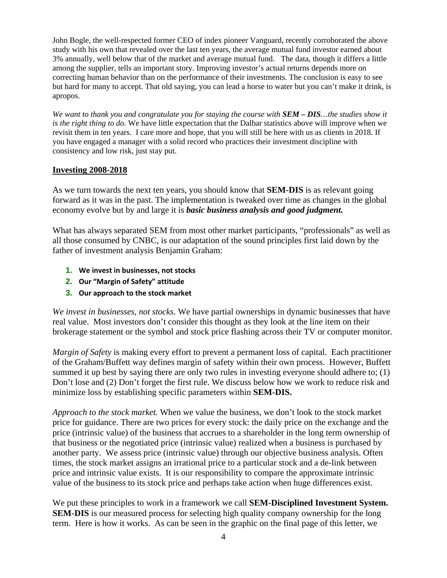John Bogle, the well-respected former CEO of index pioneer Vanguard, recently corroborated the above study with his own that revealed over the last ten years, the average mutual fund investor earned about 3% annually, well below that of the market and average mutual fund. The data, though it differs a little among the supplier, tells an important story. Improving investor's actual returns depends more on correcting human behavior than on the performance of their investments. The conclusion is easy to see but hard for many to accept. That old saying, you can lead a horse to water but you can't make it drink, is apropos.

*We want to thank you and congratulate you for staying the course with SEM – DIS…the studies show it is the right thing to do.* We have little expectation that the Dalbar statistics above will improve when we revisit them in ten years. I care more and hope, that you will still be here with us as clients in 2018. If you have engaged a manager with a solid record who practices their investment discipline with consistency and low risk, just stay put.

## **Investing 2008-2018**

As we turn towards the next ten years, you should know that **SEM-DIS** is as relevant going forward as it was in the past. The implementation is tweaked over time as changes in the global economy evolve but by and large it is *basic business analysis and good judgment.* 

What has always separated SEM from most other market participants, "professionals" as well as all those consumed by CNBC, is our adaptation of the sound principles first laid down by the father of investment analysis Benjamin Graham:

- **1. We invest in businesses, not stocks**
- **2. Our "Margin of Safety" attitude**
- **3. Our approach to the stock market**

*We invest in businesses, not stocks*. We have partial ownerships in dynamic businesses that have real value. Most investors don't consider this thought as they look at the line item on their brokerage statement or the symbol and stock price flashing across their TV or computer monitor.

*Margin of Safety* is making every effort to prevent a permanent loss of capital. Each practitioner of the Graham/Buffett way defines margin of safety within their own process. However, Buffett summed it up best by saying there are only two rules in investing everyone should adhere to; (1) Don't lose and (2) Don't forget the first rule. We discuss below how we work to reduce risk and minimize loss by establishing specific parameters within **SEM-DIS.**

*Approach to the stock market.* When we value the business, we don't look to the stock market price for guidance. There are two prices for every stock: the daily price on the exchange and the price (intrinsic value) of the business that accrues to a shareholder in the long term ownership of that business or the negotiated price (intrinsic value) realized when a business is purchased by another party. We assess price (intrinsic value) through our objective business analysis. Often times, the stock market assigns an irrational price to a particular stock and a de-link between price and intrinsic value exists. It is our responsibility to compare the approximate intrinsic value of the business to its stock price and perhaps take action when huge differences exist.

We put these principles to work in a framework we call **SEM-Disciplined Investment System. SEM-DIS** is our measured process for selecting high quality company ownership for the long term. Here is how it works. As can be seen in the graphic on the final page of this letter, we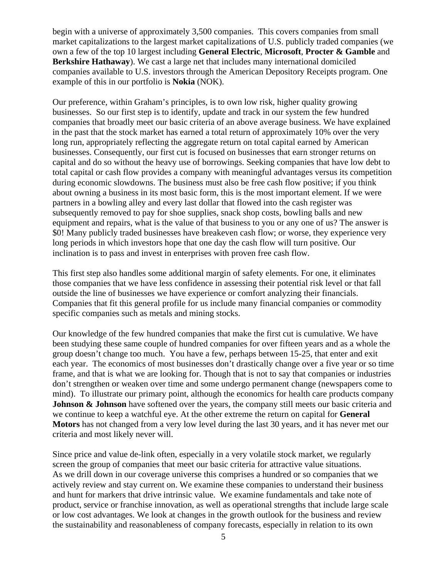begin with a universe of approximately 3,500 companies. This covers companies from small market capitalizations to the largest market capitalizations of U.S. publicly traded companies (we own a few of the top 10 largest including **General Electric**, **Microsoft**, **Procter & Gamble** and **Berkshire Hathaway**). We cast a large net that includes many international domiciled companies available to U.S. investors through the American Depository Receipts program. One example of this in our portfolio is **Nokia** (NOK).

Our preference, within Graham's principles, is to own low risk, higher quality growing businesses. So our first step is to identify, update and track in our system the few hundred companies that broadly meet our basic criteria of an above average business. We have explained in the past that the stock market has earned a total return of approximately 10% over the very long run, appropriately reflecting the aggregate return on total capital earned by American businesses. Consequently, our first cut is focused on businesses that earn stronger returns on capital and do so without the heavy use of borrowings. Seeking companies that have low debt to total capital or cash flow provides a company with meaningful advantages versus its competition during economic slowdowns. The business must also be free cash flow positive; if you think about owning a business in its most basic form, this is the most important element. If we were partners in a bowling alley and every last dollar that flowed into the cash register was subsequently removed to pay for shoe supplies, snack shop costs, bowling balls and new equipment and repairs, what is the value of that business to you or any one of us? The answer is \$0! Many publicly traded businesses have breakeven cash flow; or worse, they experience very long periods in which investors hope that one day the cash flow will turn positive. Our inclination is to pass and invest in enterprises with proven free cash flow.

This first step also handles some additional margin of safety elements. For one, it eliminates those companies that we have less confidence in assessing their potential risk level or that fall outside the line of businesses we have experience or comfort analyzing their financials. Companies that fit this general profile for us include many financial companies or commodity specific companies such as metals and mining stocks.

Our knowledge of the few hundred companies that make the first cut is cumulative. We have been studying these same couple of hundred companies for over fifteen years and as a whole the group doesn't change too much. You have a few, perhaps between 15-25, that enter and exit each year. The economics of most businesses don't drastically change over a five year or so time frame, and that is what we are looking for. Though that is not to say that companies or industries don't strengthen or weaken over time and some undergo permanent change (newspapers come to mind). To illustrate our primary point, although the economics for health care products company **Johnson & Johnson** have softened over the years, the company still meets our basic criteria and we continue to keep a watchful eye. At the other extreme the return on capital for **General Motors** has not changed from a very low level during the last 30 years, and it has never met our criteria and most likely never will.

Since price and value de-link often, especially in a very volatile stock market, we regularly screen the group of companies that meet our basic criteria for attractive value situations. As we drill down in our coverage universe this comprises a hundred or so companies that we actively review and stay current on. We examine these companies to understand their business and hunt for markers that drive intrinsic value. We examine fundamentals and take note of product, service or franchise innovation, as well as operational strengths that include large scale or low cost advantages. We look at changes in the growth outlook for the business and review the sustainability and reasonableness of company forecasts, especially in relation to its own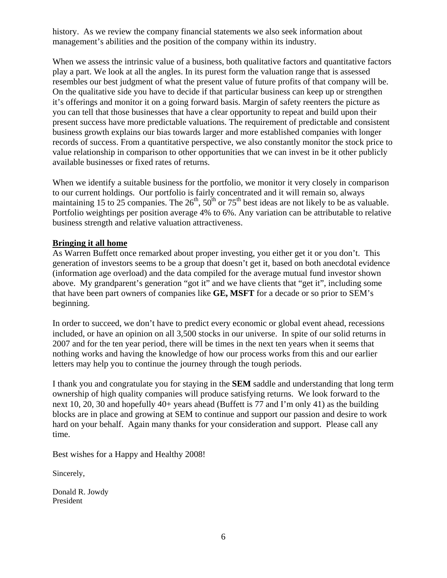history. As we review the company financial statements we also seek information about management's abilities and the position of the company within its industry.

When we assess the intrinsic value of a business, both qualitative factors and quantitative factors play a part. We look at all the angles. In its purest form the valuation range that is assessed resembles our best judgment of what the present value of future profits of that company will be. On the qualitative side you have to decide if that particular business can keep up or strengthen it's offerings and monitor it on a going forward basis. Margin of safety reenters the picture as you can tell that those businesses that have a clear opportunity to repeat and build upon their present success have more predictable valuations. The requirement of predictable and consistent business growth explains our bias towards larger and more established companies with longer records of success. From a quantitative perspective, we also constantly monitor the stock price to value relationship in comparison to other opportunities that we can invest in be it other publicly available businesses or fixed rates of returns.

When we identify a suitable business for the portfolio, we monitor it very closely in comparison to our current holdings. Our portfolio is fairly concentrated and it will remain so, always maintaining 15 to 25 companies. The  $26<sup>th</sup>$ ,  $50<sup>th</sup>$  or  $75<sup>th</sup>$  best ideas are not likely to be as valuable. Portfolio weightings per position average 4% to 6%. Any variation can be attributable to relative business strength and relative valuation attractiveness.

## **Bringing it all home**

As Warren Buffett once remarked about proper investing, you either get it or you don't. This generation of investors seems to be a group that doesn't get it, based on both anecdotal evidence (information age overload) and the data compiled for the average mutual fund investor shown above. My grandparent's generation "got it" and we have clients that "get it", including some that have been part owners of companies like **GE, MSFT** for a decade or so prior to SEM's beginning.

In order to succeed, we don't have to predict every economic or global event ahead, recessions included, or have an opinion on all 3,500 stocks in our universe. In spite of our solid returns in 2007 and for the ten year period, there will be times in the next ten years when it seems that nothing works and having the knowledge of how our process works from this and our earlier letters may help you to continue the journey through the tough periods.

I thank you and congratulate you for staying in the **SEM** saddle and understanding that long term ownership of high quality companies will produce satisfying returns. We look forward to the next 10, 20, 30 and hopefully 40+ years ahead (Buffett is 77 and I'm only 41) as the building blocks are in place and growing at SEM to continue and support our passion and desire to work hard on your behalf. Again many thanks for your consideration and support. Please call any time.

Best wishes for a Happy and Healthy 2008!

Sincerely,

Donald R. Jowdy President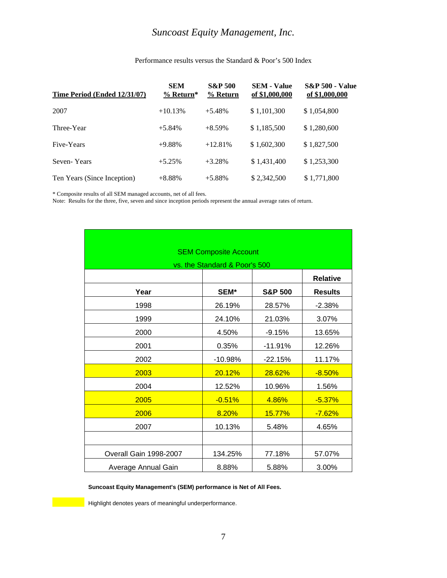## *Suncoast Equity Management, Inc.*

| Time Period (Ended 12/31/07) | <b>SEM</b><br>$%$ Return* | <b>S&amp;P 500</b><br>$%$ Return | <b>SEM - Value</b><br>of \$1,000,000 | <b>S&amp;P 500 - Value</b><br>of \$1,000,000 |
|------------------------------|---------------------------|----------------------------------|--------------------------------------|----------------------------------------------|
| 2007                         | $+10.13%$                 | $+5.48%$                         | \$1,101,300                          | \$1,054,800                                  |
| Three-Year                   | $+5.84%$                  | $+8.59%$                         | \$1,185,500                          | \$1,280,600                                  |
| Five-Years                   | $+9.88%$                  | $+12.81%$                        | \$1,602,300                          | \$1,827,500                                  |
| Seven-Years                  | $+5.25%$                  | $+3.28%$                         | \$1,431,400                          | \$1,253,300                                  |
| Ten Years (Since Inception)  | $+8.88%$                  | $+5.88%$                         | \$2,342,500                          | \$1,771,800                                  |

#### Performance results versus the Standard & Poor's 500 Index

\* Composite results of all SEM managed accounts, net of all fees.

Note: Results for the three, five, seven and since inception periods represent the annual average rates of return.

|                        | <b>SEM Composite Account</b>  |                    |                 |  |  |
|------------------------|-------------------------------|--------------------|-----------------|--|--|
|                        | vs. the Standard & Poor's 500 |                    |                 |  |  |
|                        |                               |                    | <b>Relative</b> |  |  |
| Year                   | SEM*                          | <b>S&amp;P 500</b> | <b>Results</b>  |  |  |
| 1998                   | 26.19%                        | 28.57%             | $-2.38%$        |  |  |
| 1999                   | 24.10%                        | 21.03%             | 3.07%           |  |  |
| 2000                   | 4.50%                         | $-9.15%$           | 13.65%          |  |  |
| 2001                   | 0.35%                         | $-11.91%$          | 12.26%          |  |  |
| 2002                   | $-10.98%$                     | $-22.15%$          | 11.17%          |  |  |
| 2003                   | 20.12%                        | 28.62%             | $-8.50%$        |  |  |
| 2004                   | 12.52%                        | 10.96%             | 1.56%           |  |  |
| 2005                   | $-0.51%$                      | 4.86%              | $-5.37%$        |  |  |
| 2006                   | 8.20%                         | 15.77%             | $-7.62%$        |  |  |
| 2007                   | 10.13%                        | 5.48%              | 4.65%           |  |  |
|                        |                               |                    |                 |  |  |
| Overall Gain 1998-2007 | 134.25%                       | 77.18%             | 57.07%          |  |  |
| Average Annual Gain    | 8.88%                         | 5.88%              | 3.00%           |  |  |

**Suncoast Equity Management's (SEM) performance is Net of All Fees.** 

**Highlight denotes years of meaningful underperformance.**